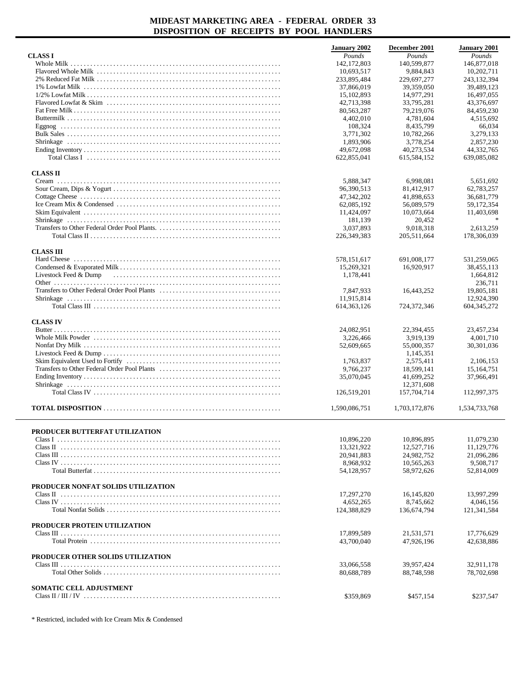|                                    | <b>January 2002</b> | December 2001 | <b>January 2001</b> |
|------------------------------------|---------------------|---------------|---------------------|
| <b>CLASS I</b>                     | Pounds              | Pounds        | Pounds              |
|                                    | 142, 172, 803       | 140,599,877   | 146,877,018         |
|                                    | 10,693,517          | 9,884,843     | 10,202,711          |
|                                    | 233,895,484         | 229,697,277   | 243, 132, 394       |
|                                    | 37,866,019          | 39,359,050    | 39,489,123          |
|                                    |                     | 14.977.291    | 16,497,055          |
|                                    | 15, 102, 893        |               |                     |
|                                    | 42,713,398          | 33.795.281    | 43,376,697          |
|                                    | 80,563,287          | 79,219,076    | 84,459,230          |
|                                    | 4,402,010           | 4,781,604     | 4,515,692           |
|                                    | 108,324             | 8,435,799     | 66,034              |
|                                    | 3,771,302           | 10,782,266    | 3,279,133           |
|                                    | 1,893,906           | 3,778,254     | 2,857,230           |
|                                    | 49,672,098          | 40,273,534    | 44,332,765          |
|                                    | 622,855,041         | 615,584,152   | 639,085,082         |
| <b>CLASS II</b>                    |                     |               |                     |
|                                    | 5,888,347           | 6,998,081     | 5,651,692           |
|                                    | 96,390,513          | 81,412,917    | 62,783,257          |
|                                    | 47,342,202          | 41,898,653    | 36,681,779          |
|                                    |                     |               |                     |
|                                    | 62,085,192          | 56,089,579    | 59,172,354          |
|                                    | 11,424,097          | 10,073,664    | 11,403,698          |
|                                    | 181,139             | 20,452        |                     |
|                                    | 3,037,893           | 9,018,318     | 2,613,259           |
|                                    | 226,349,383         | 205,511,664   | 178,306,039         |
| <b>CLASS III</b>                   |                     |               |                     |
|                                    | 578,151,617         | 691,008,177   | 531,259,065         |
|                                    | 15,269,321          | 16,920,917    | 38,455,113          |
| Livestock Feed & Dump              | 1,178,441           |               | 1,664,812           |
|                                    |                     |               | 236,711             |
|                                    | 7,847,933           | 16,443,252    | 19,805,181          |
|                                    |                     |               |                     |
|                                    | 11,915,814          |               | 12,924,390          |
|                                    | 614, 363, 126       | 724,372,346   | 604, 345, 272       |
| <b>CLASS IV</b>                    |                     |               |                     |
|                                    | 24,082,951          | 22,394,455    | 23,457,234          |
|                                    | 3,226,466           | 3,919,139     | 4,001,710           |
|                                    | 52,609,665          | 55,000,357    | 30,301,036          |
|                                    |                     | 1,145,351     |                     |
|                                    | 1,763,837           | 2,575,411     | 2,106,153           |
|                                    | 9,766,237           | 18,599,141    | 15,164,751          |
|                                    | 35,070,045          | 41,699,252    | 37,966,491          |
|                                    |                     | 12,371,608    |                     |
|                                    |                     |               |                     |
|                                    | 126,519,201         | 157,704,714   | 112,997,375         |
|                                    | 1,590,086,751       | 1,703,172,876 | 1,534,733,768       |
|                                    |                     |               |                     |
| PRODUCER BUTTERFAT UTILIZATION     |                     | 10,896,895    |                     |
|                                    | 10,896,220          |               | 11,079,230          |
|                                    | 13,321,922          | 12,527,716    | 11,129,776          |
|                                    | 20,941,883          | 24.982.752    | 21,096,286          |
|                                    | 8,968,932           | 10,565,263    | 9,508,717           |
|                                    | 54,128,957          | 58,972,626    | 52,814,009          |
| PRODUCER NONFAT SOLIDS UTILIZATION |                     |               |                     |
|                                    | 17,297,270          | 16,145,820    | 13.997.299          |
|                                    | 4,652,265           | 8,745,662     | 4,046,156           |
|                                    | 124,388,829         | 136,674,794   | 121,341,584         |
|                                    |                     |               |                     |
| PRODUCER PROTEIN UTILIZATION       |                     |               |                     |
|                                    | 17.899.589          | 21,531,571    | 17.776.629          |
|                                    | 43,700,040          | 47,926,196    | 42,638,886          |
|                                    |                     |               |                     |
| PRODUCER OTHER SOLIDS UTILIZATION  |                     |               |                     |
|                                    | 33,066,558          | 39,957,424    | 32,911,178          |
|                                    | 80,688,789          | 88,748,598    | 78,702,698          |
|                                    |                     |               |                     |
| <b>SOMATIC CELL ADJUSTMENT</b>     |                     |               |                     |
|                                    | \$359,869           | \$457,154     | \$237,547           |

\* Restricted, included with Ice Cream Mix & Condensed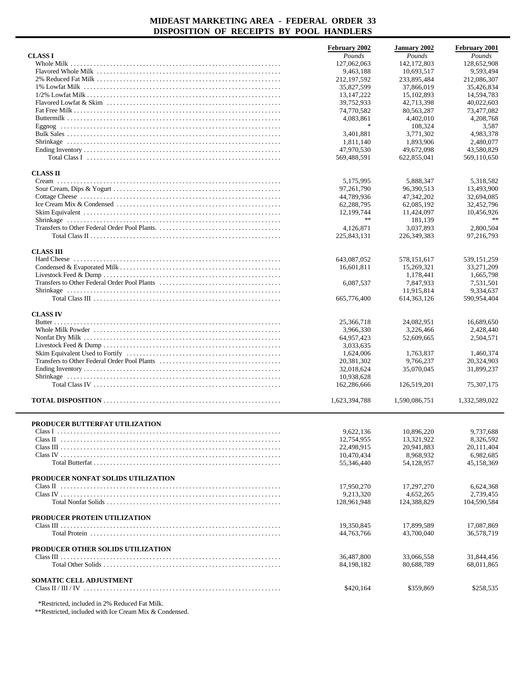|                                                                                                                                    | <b>February 2002</b>     | <b>January 2002</b> | <b>February 2001</b> |
|------------------------------------------------------------------------------------------------------------------------------------|--------------------------|---------------------|----------------------|
| <b>CLASS I</b>                                                                                                                     | Pounds                   | Pounds              | Pounds               |
|                                                                                                                                    | 127,062,063              | 142,172,803         | 128,652,908          |
|                                                                                                                                    | 9,463,188                | 10,693,517          | 9,593,494            |
|                                                                                                                                    | 212, 197, 592            | 233,895,484         | 212,086,307          |
|                                                                                                                                    | 35,827,599               | 37,866,019          | 35,426,834           |
|                                                                                                                                    | 13, 147, 222             | 15,102,893          | 14,594,783           |
|                                                                                                                                    | 39,752,933               | 42,713,398          | 40,022,603           |
|                                                                                                                                    | 74,770,582               | 80,563,287          | 73,477,082           |
|                                                                                                                                    | 4,083,861                | 4,402,010           | 4,208,768            |
|                                                                                                                                    | $\frac{1}{2}$            | 108,324             | 3,587                |
|                                                                                                                                    | 3,401,881                | 3,771,302           | 4,983,378            |
|                                                                                                                                    | 1,811,140                | 1,893,906           | 2,480,077            |
|                                                                                                                                    | 47,970,530               | 49,672,098          | 43,580,829           |
| Total Class I $\ldots$ $\ldots$ $\ldots$ $\ldots$ $\ldots$ $\ldots$ $\ldots$ $\ldots$ $\ldots$ $\ldots$ $\ldots$ $\ldots$ $\ldots$ | 569,488,591              | 622,855,041         | 569,110,650          |
|                                                                                                                                    |                          |                     |                      |
| <b>CLASS II</b>                                                                                                                    |                          |                     |                      |
|                                                                                                                                    | 5,175,995                | 5,888,347           | 5,318,582            |
|                                                                                                                                    | 97,261,790               | 96,390,513          | 13,493,900           |
|                                                                                                                                    | 44,789,936               | 47,342,202          | 32,694,085           |
|                                                                                                                                    | 62,288,795               | 62,085,192          | 32,452,796           |
|                                                                                                                                    | 12,199,744               | 11,424,097          | 10,456,926           |
|                                                                                                                                    | $\gg \gg$                | 181,139             | $\gg \gg$            |
|                                                                                                                                    | 4,126,871                | 3.037.893           | 2,800,504            |
|                                                                                                                                    | 225,843,131              | 226, 349, 383       | 97,216,793           |
| <b>CLASS III</b>                                                                                                                   |                          |                     |                      |
|                                                                                                                                    | 643,087,052              | 578,151,617         | 539, 151, 259        |
|                                                                                                                                    | 16,601,811               | 15,269,321          | 33,271,209           |
|                                                                                                                                    |                          | 1.178.441           | 1,665,798            |
|                                                                                                                                    | 6,087,537                | 7,847,933           | 7,531,501            |
|                                                                                                                                    |                          | 11,915,814          | 9,334,637            |
|                                                                                                                                    | 665,776,400              | 614, 363, 126       | 590,954,404          |
|                                                                                                                                    |                          |                     |                      |
| <b>CLASS IV</b>                                                                                                                    |                          |                     |                      |
|                                                                                                                                    | 25,366,718               | 24,082,951          | 16,689,650           |
|                                                                                                                                    | 3,966,330                | 3,226,466           | 2,428,440            |
|                                                                                                                                    | 64,957,423               | 52,609,665          | 2,504,571            |
|                                                                                                                                    | 3,033,635                |                     |                      |
|                                                                                                                                    | 1,624,006                | 1,763,837           | 1,460,374            |
|                                                                                                                                    | 20,381,302               | 9,766,237           | 20,324,903           |
|                                                                                                                                    | 32,018,624               | 35,070,045          | 31,899,237           |
|                                                                                                                                    | 10,938,628               |                     |                      |
|                                                                                                                                    | 162,286,666              | 126,519,201         | 75,307,175           |
|                                                                                                                                    | 1,623,394,788            | 1,590,086,751       | 1,332,589,022        |
|                                                                                                                                    |                          |                     |                      |
|                                                                                                                                    |                          |                     |                      |
| PRODUCER BUTTERFAT UTILIZATION                                                                                                     |                          |                     |                      |
|                                                                                                                                    | 9,622,136                | 10,896,220          | 9,737,688            |
|                                                                                                                                    | 12,754,955               | 13,321,922          | 8,326,592            |
|                                                                                                                                    | 22,498,915<br>10.470.434 | 20,941,883          | 20,111,404           |
|                                                                                                                                    |                          | 8,968,932           | 6,982,685            |
|                                                                                                                                    | 55,346,440               | 54,128,957          | 45,158,369           |
| PRODUCER NONFAT SOLIDS UTILIZATION                                                                                                 |                          |                     |                      |
|                                                                                                                                    | 17,950,270               | 17,297,270          | 6,624,368            |
|                                                                                                                                    | 9,213,320                | 4,652,265           | 2,739,455            |
|                                                                                                                                    | 128,961,948              | 124,388,829         | 104,590,584          |
|                                                                                                                                    |                          |                     |                      |
| PRODUCER PROTEIN UTILIZATION                                                                                                       | 19,350,845               | 17,899,589          | 17,087,869           |
|                                                                                                                                    | 44,763,766               | 43,700,040          | 36,578,719           |
|                                                                                                                                    |                          |                     |                      |
| PRODUCER OTHER SOLIDS UTILIZATION                                                                                                  |                          |                     |                      |
|                                                                                                                                    | 36,487,800               | 33,066,558          | 31,844,456           |
|                                                                                                                                    | 84, 198, 182             | 80,688,789          | 68,011,865           |
|                                                                                                                                    |                          |                     |                      |
| <b>SOMATIC CELL ADJUSTMENT</b>                                                                                                     |                          |                     |                      |
|                                                                                                                                    | \$420,164                | \$359,869           | \$258,535            |
|                                                                                                                                    |                          |                     |                      |

\*Restricted, included in 2% Reduced Fat Milk.

\*\*Restricted, included with Ice Cream Mix & Condensed.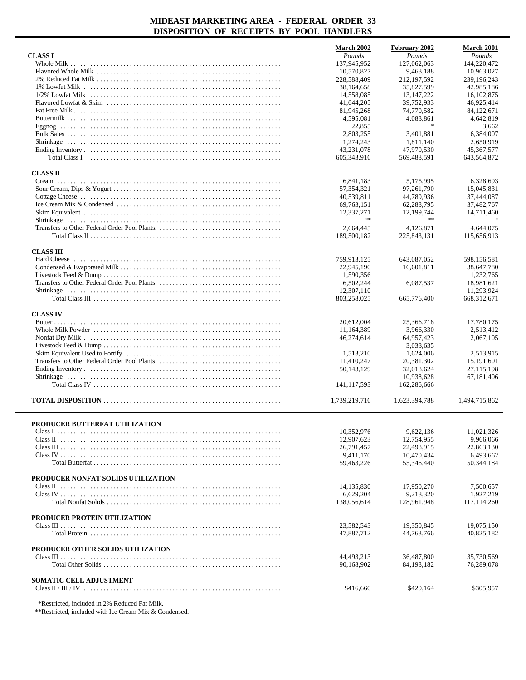|                                                                                                                                             | <b>March 2002</b>       | February 2002               | <b>March 2001</b> |
|---------------------------------------------------------------------------------------------------------------------------------------------|-------------------------|-----------------------------|-------------------|
| <b>CLASS I</b>                                                                                                                              | Pounds                  | Pounds                      | Pounds            |
|                                                                                                                                             | 137,945,952             | 127,062,063                 | 144,220,472       |
|                                                                                                                                             | 10,570,827              | 9,463,188                   | 10,963,027        |
|                                                                                                                                             | 228,588,409             | 212,197,592                 | 239,196,243       |
|                                                                                                                                             | 38,164,658              | 35,827,599                  | 42,985,186        |
|                                                                                                                                             | 14,558,085              | 13, 147, 222                | 16, 102, 875      |
|                                                                                                                                             | 41,644,205              | 39,752,933                  | 46,925,414        |
|                                                                                                                                             | 81,945,268              | 74,770,582                  | 84,122,671        |
|                                                                                                                                             | 4,595,081               | 4,083,861                   | 4,642,819         |
|                                                                                                                                             |                         |                             |                   |
|                                                                                                                                             | 22,855                  |                             | 3,662             |
|                                                                                                                                             | 2,803,255               | 3,401,881                   | 6,384,007         |
|                                                                                                                                             | 1,274,243               | 1,811,140                   | 2,650,919         |
|                                                                                                                                             | 43,231,078              | 47,970,530                  | 45, 367, 577      |
| Total Class I $\ldots$ $\ldots$ $\ldots$ $\ldots$ $\ldots$ $\ldots$ $\ldots$ $\ldots$ $\ldots$ $\ldots$ $\ldots$ $\ldots$ $\ldots$ $\ldots$ | 605,343,916             | 569,488,591                 | 643,564,872       |
| <b>CLASS II</b>                                                                                                                             |                         |                             |                   |
|                                                                                                                                             | 6,841,183               | 5,175,995                   | 6,328,693         |
|                                                                                                                                             | 57, 354, 321            | 97,261,790                  | 15,045,831        |
|                                                                                                                                             | 40,539,811              | 44,789,936                  | 37,444,087        |
|                                                                                                                                             |                         |                             |                   |
|                                                                                                                                             | 69,763,151              | 62,288,795                  | 37,482,767        |
|                                                                                                                                             | 12,337,271<br>$\gg \gg$ | 12,199,744<br>$\ast$ $\ast$ | 14,711,460        |
|                                                                                                                                             |                         |                             |                   |
|                                                                                                                                             | 2,664,445               | 4,126,871                   | 4,644,075         |
|                                                                                                                                             | 189,500,182             | 225,843,131                 | 115,656,913       |
| <b>CLASS III</b>                                                                                                                            |                         |                             |                   |
|                                                                                                                                             |                         | 643,087,052                 |                   |
|                                                                                                                                             | 759,913,125             |                             | 598,156,581       |
|                                                                                                                                             | 22,945,190              | 16,601,811                  | 38,647,780        |
|                                                                                                                                             | 1,590,356               |                             | 1,232,765         |
|                                                                                                                                             | 6.502.244               | 6,087,537                   | 18,981,621        |
|                                                                                                                                             | 12,307,110              |                             | 11,293,924        |
|                                                                                                                                             | 803,258,025             | 665,776,400                 | 668, 312, 671     |
| <b>CLASS IV</b>                                                                                                                             |                         |                             |                   |
|                                                                                                                                             | 20,612,004              | 25,366,718                  | 17,780,175        |
|                                                                                                                                             |                         |                             |                   |
|                                                                                                                                             | 11,164,389              | 3,966,330                   | 2,513,412         |
|                                                                                                                                             | 46,274,614              | 64,957,423                  | 2,067,105         |
|                                                                                                                                             |                         | 3,033,635                   |                   |
|                                                                                                                                             | 1,513,210               | 1,624,006                   | 2,513,915         |
|                                                                                                                                             | 11,410,247              | 20,381,302                  | 15,191,601        |
|                                                                                                                                             | 50,143,129              | 32,018,624                  | 27, 115, 198      |
|                                                                                                                                             |                         | 10.938.628                  | 67,181,406        |
|                                                                                                                                             | 141, 117, 593           | 162,286,666                 |                   |
|                                                                                                                                             |                         |                             |                   |
|                                                                                                                                             | 1,739,219,716           | 1,623,394,788               | 1,494,715,862     |
|                                                                                                                                             |                         |                             |                   |
| PRODUCER BUTTERFAT UTILIZATION                                                                                                              |                         |                             |                   |
|                                                                                                                                             | 10,352,976              | 9,622,136                   | 11,021,326        |
|                                                                                                                                             | 12,907,623              | 12,754,955                  | 9,966,066         |
|                                                                                                                                             | 26,791,457              | 22,498,915                  | 22,863,130        |
|                                                                                                                                             | 9.411.170               | 10,470,434                  | 6.493.662         |
|                                                                                                                                             | 59,463,226              | 55,346,440                  | 50,344,184        |
|                                                                                                                                             |                         |                             |                   |
| PRODUCER NONFAT SOLIDS UTILIZATION                                                                                                          |                         |                             |                   |
|                                                                                                                                             | 14, 135, 830            | 17,950,270                  | 7,500,657         |
|                                                                                                                                             | 6,629,204               | 9,213,320                   | 1,927,219         |
|                                                                                                                                             | 138,056,614             | 128,961,948                 | 117,114,260       |
| PRODUCER PROTEIN UTILIZATION                                                                                                                |                         |                             |                   |
|                                                                                                                                             | 23,582,543              | 19,350,845                  | 19,075,150        |
|                                                                                                                                             | 47,887,712              | 44, 763, 766                | 40,825,182        |
|                                                                                                                                             |                         |                             |                   |
| PRODUCER OTHER SOLIDS UTILIZATION                                                                                                           |                         |                             |                   |
|                                                                                                                                             | 44,493,213              | 36,487,800                  | 35,730,569        |
|                                                                                                                                             | 90,168,902              | 84,198,182                  | 76,289,078        |
|                                                                                                                                             |                         |                             |                   |
| <b>SOMATIC CELL ADJUSTMENT</b>                                                                                                              |                         |                             |                   |
|                                                                                                                                             | \$416,660               | \$420,164                   | \$305,957         |
|                                                                                                                                             |                         |                             |                   |

\*Restricted, included in 2% Reduced Fat Milk.

\*\*Restricted, included with Ice Cream Mix & Condensed.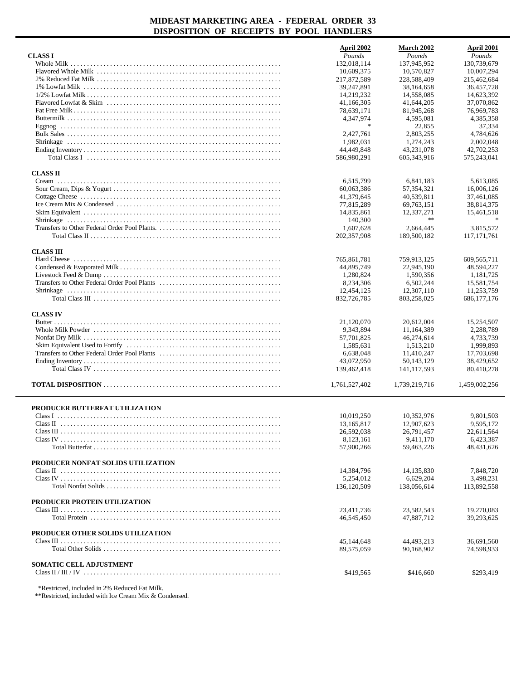|                                               | April 2002              | March 2002               | April 2001             |
|-----------------------------------------------|-------------------------|--------------------------|------------------------|
| <b>CLASS I</b>                                | Pounds                  | Pounds                   | Pounds                 |
|                                               | 132,018,114             | 137,945,952              | 130,739,679            |
|                                               | 10,609,375              | 10,570,827               | 10,007,294             |
|                                               | 217,872,589             | 228,588,409              | 215,462,684            |
|                                               | 39,247,891              | 38,164,658               | 36,457,728             |
|                                               | 14,219,232              | 14,558,085               | 14,623,392             |
|                                               | 41,166,305              | 41,644,205               | 37,070,862             |
|                                               | 78,639,171              | 81,945,268               | 76,969,783             |
|                                               | 4,347,974               | 4,595,081                | 4,385,358              |
|                                               | $\frac{1}{2}$           | 22,855                   | 37,334                 |
|                                               | 2,427,761               | 2,803,255                | 4,784,626              |
|                                               | 1,982,031               | 1,274,243                | 2.002.048              |
|                                               | 44,449,848              | 43,231,078               | 42,702,253             |
|                                               | 586,980,291             | 605, 343, 916            | 575,243,041            |
| <b>CLASS II</b>                               |                         |                          |                        |
|                                               | 6,515,799               | 6,841,183                | 5,613,085              |
|                                               | 60,063,386              | 57, 354, 321             | 16,006,126             |
|                                               | 41,379,645              | 40,539,811               | 37,461,085             |
|                                               | 77,815,289              | 69,763,151               | 38,814,375             |
|                                               | 14,835,861              | 12,337,271               | 15,461,518             |
|                                               | 140,300                 | $\ast$ $\ast$            |                        |
|                                               | 1,607,628               | 2,664,445                | 3,815,572              |
|                                               | 202,357,908             | 189,500,182              | 117, 171, 761          |
|                                               |                         |                          |                        |
| <b>CLASS III</b>                              |                         |                          |                        |
|                                               | 765,861,781             | 759,913,125              | 609,565,711            |
|                                               | 44,895,749              | 22,945,190               | 48,594,227             |
|                                               | 1,280,824               | 1,590,356                | 1,181,725              |
|                                               | 8,234,306               | 6,502,244                | 15,581,754             |
|                                               | 12,454,125              | 12,307,110               | 11,253,759             |
|                                               | 832,726,785             | 803,258,025              | 686, 177, 176          |
|                                               |                         |                          |                        |
| <b>CLASS IV</b>                               |                         |                          |                        |
|                                               | 21,120,070              | 20,612,004               | 15,254,507             |
|                                               | 9,343,894               | 11,164,389<br>46,274,614 | 2,288,789<br>4,733,739 |
|                                               | 57,701,825<br>1,585,631 | 1,513,210                | 1,999,893              |
|                                               | 6,638,048               | 11,410,247               | 17,703,698             |
|                                               | 43,072,950              | 50,143,129               | 38,429,652             |
|                                               | 139,462,418             | 141, 117, 593            | 80,410,278             |
|                                               |                         |                          |                        |
|                                               | 1,761,527,402           | 1,739,219,716            | 1,459,002,256          |
|                                               |                         |                          |                        |
| PRODUCER BUTTERFAT UTILIZATION                |                         |                          |                        |
|                                               | 10,019,250              | 10,352,976               | 9,801,503              |
| Class II                                      | 13,165,817              | 12,907,623               | 9,595,172              |
|                                               | 26,592,038              | 26,791,457               | 22,611,564             |
|                                               | 8,123,161               | 9.411.170                | 6,423,387              |
| Total Butterfat                               | 57,900,266              | 59,463,226               | 48,431,626             |
| PRODUCER NONFAT SOLIDS UTILIZATION            |                         |                          |                        |
|                                               | 14,384,796              | 14,135,830               | 7,848,720              |
|                                               | 5,254,012               | 6,629,204                | 3,498,231              |
|                                               | 136,120,509             | 138,056,614              | 113,892,558            |
|                                               |                         |                          |                        |
| PRODUCER PROTEIN UTILIZATION                  |                         |                          |                        |
|                                               | 23,411,736              | 23,582,543               | 19,270,083             |
|                                               | 46,545,450              | 47,887,712               | 39,293,625             |
|                                               |                         |                          |                        |
| PRODUCER OTHER SOLIDS UTILIZATION             |                         |                          |                        |
|                                               | 45,144,648              | 44,493,213               | 36,691,560             |
|                                               | 89,575,059              | 90,168,902               | 74,598,933             |
|                                               |                         |                          |                        |
| <b>SOMATIC CELL ADJUSTMENT</b>                |                         |                          |                        |
|                                               | \$419,565               | \$416,660                | \$293,419              |
|                                               |                         |                          |                        |
| *Restricted, included in 2% Reduced Fat Milk. |                         |                          |                        |

\*\*Restricted, included with Ice Cream Mix & Condensed.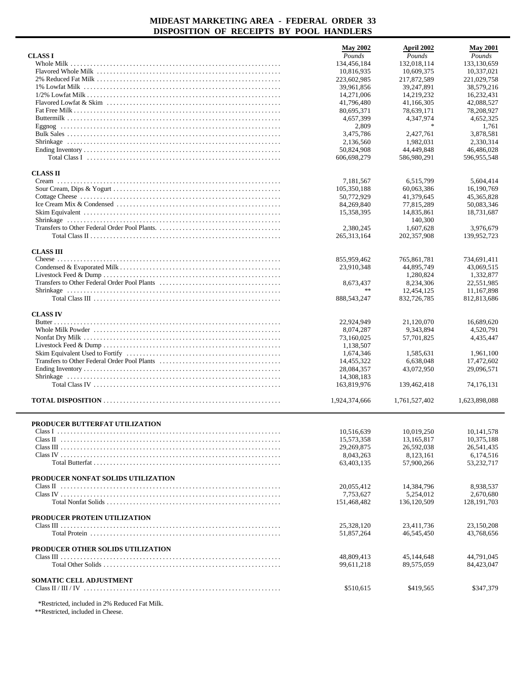|                                    | <b>May 2002</b> | April 2002                | <b>May 2001</b>           |
|------------------------------------|-----------------|---------------------------|---------------------------|
| <b>CLASS I</b>                     | Pounds          | Pounds                    | Pounds                    |
|                                    | 134,456,184     | 132,018,114               | 133,130,659               |
|                                    | 10,816,935      | 10,609,375                | 10,337,021                |
|                                    | 223,602,985     | 217,872,589               | 221,029,758               |
|                                    | 39,961,856      | 39,247,891                | 38,579,216                |
|                                    | 14,271,006      | 14.219.232                | 16.232.431                |
|                                    | 41,796,480      | 41,166,305                | 42,088,527                |
|                                    | 80,695,371      | 78,639,171                | 78,208,927                |
|                                    | 4,657,399       | 4,347,974                 | 4,652,325                 |
|                                    | 2,809           | $\ast$                    | 1,761                     |
|                                    | 3,475,786       | 2,427,761                 | 3,878,581                 |
|                                    | 2,136,560       | 1,982,031                 | 2,330,314                 |
|                                    | 50,824,908      | 44,449,848                | 46,486,028                |
|                                    | 606,698,279     | 586,980,291               | 596,955,548               |
| <b>CLASS II</b>                    |                 |                           |                           |
|                                    | 7,181,567       | 6,515,799                 | 5,604,414                 |
|                                    | 105,350,188     | 60,063,386                | 16,190,769                |
|                                    | 50,772,929      | 41,379,645                | 45, 365, 828              |
|                                    | 84,269,840      | 77,815,289                | 50,083,346                |
|                                    | 15,358,395      | 14,835,861                | 18,731,687                |
|                                    |                 | 140,300                   |                           |
|                                    | 2,380,245       | 1,607,628                 | 3,976,679                 |
|                                    | 265,313,164     | 202, 357, 908             | 139,952,723               |
|                                    |                 |                           |                           |
| <b>CLASS III</b>                   |                 |                           |                           |
|                                    | 855,959,462     | 765,861,781               | 734,691,411               |
|                                    | 23,910,348      | 44,895,749                | 43,069,515                |
|                                    |                 | 1,280,824                 | 1,332,877                 |
|                                    | 8,673,437<br>** | 8,234,306                 | 22.551.985                |
|                                    | 888,543,247     | 12,454,125<br>832,726,785 | 11,167,898<br>812,813,686 |
|                                    |                 |                           |                           |
| <b>CLASS IV</b>                    |                 |                           |                           |
|                                    | 22,924,949      | 21,120,070                | 16,689,620                |
|                                    | 8,074,287       | 9,343,894                 | 4,520,791                 |
|                                    | 73,160,025      | 57,701,825                | 4,435,447                 |
|                                    | 1,138,507       |                           |                           |
|                                    | 1,674,346       | 1,585,631                 | 1,961,100                 |
|                                    | 14,455,322      | 6,638,048                 | 17,472,602                |
|                                    | 28,084,357      | 43,072,950                | 29,096,571                |
|                                    | 14,308,183      |                           |                           |
|                                    | 163,819,976     | 139,462,418               | 74.176.131                |
|                                    | 1,924,374,666   | 1,761,527,402             | 1,623,898,088             |
|                                    |                 |                           |                           |
|                                    |                 |                           |                           |
| PRODUCER BUTTERFAT UTILIZATION     |                 |                           |                           |
|                                    | 10,516,639      | 10,019,250                | 10,141,578                |
|                                    | 15,573,358      | 13,165,817                | 10,375,188                |
|                                    | 29,269,875      | 26,592,038                | 26,541,435                |
|                                    | 8,043,263       | 8,123,161                 | 6,174,516                 |
|                                    | 63,403,135      | 57,900,266                | 53,232,717                |
| PRODUCER NONFAT SOLIDS UTILIZATION |                 |                           |                           |
|                                    | 20,055,412      | 14,384,796                | 8,938,537                 |
|                                    | 7,753,627       | 5,254,012                 | 2,670,680                 |
|                                    | 151,468,482     | 136,120,509               | 128, 191, 703             |
|                                    |                 |                           |                           |
| PRODUCER PROTEIN UTILIZATION       |                 |                           |                           |
|                                    | 25,328,120      | 23,411,736                | 23,150,208                |
|                                    | 51,857,264      | 46,545,450                | 43,768,656                |
| PRODUCER OTHER SOLIDS UTILIZATION  |                 |                           |                           |
|                                    | 48,809,413      | 45,144,648                | 44,791,045                |
|                                    | 99,611,218      | 89,575,059                | 84,423,047                |
|                                    |                 |                           |                           |
| <b>SOMATIC CELL ADJUSTMENT</b>     |                 |                           |                           |
|                                    | \$510,615       | \$419,565                 | \$347,379                 |
|                                    |                 |                           |                           |

\*Restricted, included in 2% Reduced Fat Milk.

\*\*Restricted, included in Cheese.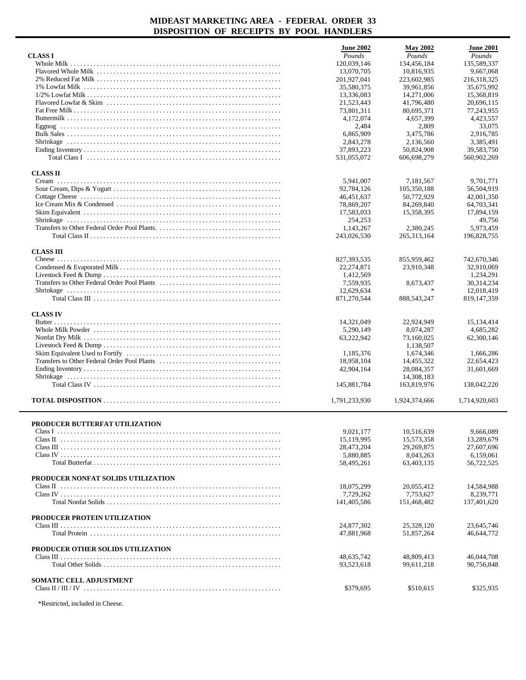|                                    | <b>June 2002</b>        | <b>May 2002</b> | <b>June 2001</b> |
|------------------------------------|-------------------------|-----------------|------------------|
| <b>CLASS I</b>                     | Pounds                  | Pounds          | Pounds           |
|                                    | 120,039,146             | 134,456,184     | 135,589,337      |
|                                    | 13.070.705              | 10.816.935      | 9,667,068        |
|                                    | 201,927,041             | 223,602,985     | 216,318,325      |
|                                    | 35,580,375              | 39,961,856      | 35,675,992       |
|                                    | 13,336,083              | 14,271,006      | 15,368,819       |
|                                    | 21,523,443              | 41,796,480      | 20,696,115       |
|                                    | 73,801,311              | 80,695,371      | 77,243,955       |
|                                    | 4,172,074               | 4,657,399       | 4,423,557        |
|                                    | 2,484                   | 2,809           | 33,075           |
|                                    | 6,865,909               | 3.475.786       | 2,916,785        |
|                                    | 2,843,278               | 2,136,560       | 3,385,491        |
|                                    | 37,893,223              | 50,824,908      | 39,583,750       |
|                                    | 531,055,072             | 606,698,279     | 560,902,269      |
| <b>CLASS II</b>                    |                         |                 |                  |
|                                    | 5,941,007               | 7,181,567       | 9,701,771        |
|                                    | 92,784,126              | 105,350,188     | 56,504,919       |
|                                    | 46, 451, 637            | 50,772,929      | 42,001,350       |
|                                    | 78,869,207              | 84,269,840      | 64,703,341       |
|                                    | 17,583,033              | 15,358,395      | 17,894,159       |
|                                    | 254,253                 |                 | 49,756           |
|                                    | 1,143,267               | 2,380,245       | 5.973.459        |
|                                    | 243,026,530             | 265, 313, 164   | 196,828,755      |
| <b>CLASS III</b>                   |                         |                 |                  |
|                                    | 827, 393, 535           | 855,959,462     | 742,670,346      |
|                                    | 22,274,871              | 23,910,348      | 32,910,069       |
|                                    | 1,412,569               |                 | 1,234,291        |
|                                    | 7,559,935               | 8,673,437       | 30,314,234       |
|                                    | 12,629,634              |                 | 12,018,419       |
|                                    | 871,270,544             | 888,543,247     | 819, 147, 359    |
|                                    |                         |                 |                  |
| <b>CLASS IV</b>                    |                         |                 | 15,134,414       |
|                                    | 14,321,049              | 22,924,949      |                  |
|                                    | 5,290,149               | 8,074,287       | 4,685,282        |
|                                    | 63,222,942              | 73,160,025      | 62,300,146       |
|                                    |                         | 1,138,507       |                  |
|                                    | 1,185,376               | 1,674,346       | 1,666,286        |
|                                    | 18,958,104              | 14,455,322      | 22,654,423       |
|                                    | 42,904,164              | 28,084,357      | 31,601,669       |
|                                    |                         | 14,308,183      |                  |
|                                    | 145,881,784             | 163,819,976     | 138,042,220      |
|                                    | 1,791,233,930           | 1,924,374,666   | 1,714,920,603    |
|                                    |                         |                 |                  |
| PRODUCER BUTTERFAT UTILIZATION     | 9.021.177               | 10,516,639      | 9,666,089        |
|                                    | 15,119,995              | 15,573,358      | 13,289,679       |
|                                    | 28,473,204              | 29,269,875      | 27,607,696       |
|                                    | 5,880,885               | 8,043,263       | 6,159,061        |
|                                    | 58,495,261              | 63,403,135      | 56,722,525       |
| PRODUCER NONFAT SOLIDS UTILIZATION |                         |                 |                  |
|                                    |                         | 20,055,412      | 14,584,988       |
|                                    | 18,075,299<br>7,729,262 | 7,753,627       | 8,239,771        |
|                                    |                         |                 |                  |
|                                    | 141,405,586             | 151,468,482     | 137,401,620      |
| PRODUCER PROTEIN UTILIZATION       |                         |                 |                  |
|                                    | 24,877,302              | 25,328,120      | 23,645,746       |
|                                    | 47,881,968              | 51,857,264      | 46,644,772       |
| PRODUCER OTHER SOLIDS UTILIZATION  |                         |                 |                  |
|                                    | 48,635,742              | 48,809,413      | 46,044,708       |
|                                    | 93,523,618              | 99,611,218      | 90,756,848       |
| <b>SOMATIC CELL ADJUSTMENT</b>     |                         |                 |                  |
|                                    | \$379,695               | \$510,615       | \$325,935        |
|                                    |                         |                 |                  |

\*Restricted, included in Cheese.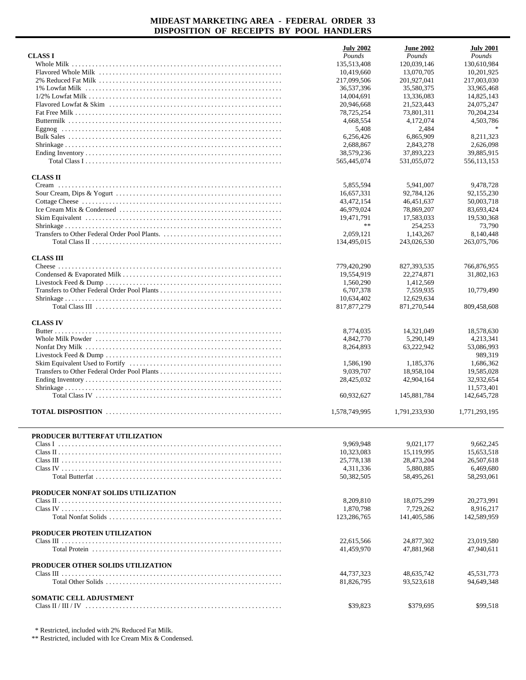|                                    | <b>July 2002</b> | <b>June 2002</b> | <b>July 2001</b> |
|------------------------------------|------------------|------------------|------------------|
| <b>CLASS I</b>                     | Pounds           | Pounds           | Pounds           |
|                                    | 135.513.408      | 120,039,146      | 130,610,984      |
|                                    | 10,419,660       | 13,070,705       | 10,201,925       |
|                                    | 217,099,506      | 201,927,041      | 217,003,030      |
|                                    | 36,537,396       | 35,580,375       | 33,965,468       |
|                                    | 14,004,691       | 13,336,083       | 14,825,143       |
|                                    | 20,946,668       | 21,523,443       | 24,075,247       |
|                                    | 78,725,254       | 73,801,311       | 70,204,234       |
|                                    | 4,668,554        | 4,172,074        | 4,503,786        |
|                                    | 5,408            | 2,484            |                  |
|                                    | 6,256,426        | 6,865,909        | 8,211,323        |
|                                    | 2,688,867        | 2.843.278        | 2,626,098        |
|                                    | 38,579,236       | 37,893,223       | 39,885,915       |
|                                    | 565,445,074      | 531,055,072      | 556,113,153      |
| <b>CLASS II</b>                    |                  |                  |                  |
|                                    | 5,855,594        | 5,941,007        | 9,478,728        |
|                                    | 16,657,331       | 92,784,126       | 92,155,230       |
|                                    | 43,472,154       | 46,451,637       | 50,003,718       |
|                                    | 46,979,024       | 78,869,207       | 83,693,424       |
|                                    | 19,471,791       | 17,583,033       | 19,530,368       |
|                                    | $\ast$ $\ast$    | 254,253          | 73,790           |
|                                    | 2,059,121        | 1,143,267        | 8,140,448        |
|                                    | 134,495,015      | 243,026,530      | 263,075,706      |
|                                    |                  |                  |                  |
| <b>CLASS III</b>                   |                  |                  |                  |
|                                    | 779,420,290      | 827,393,535      | 766,876,955      |
|                                    | 19,554,919       | 22,274,871       | 31,802,163       |
|                                    | 1,560,290        | 1,412,569        |                  |
|                                    | 6,707,378        | 7,559,935        | 10,779,490       |
|                                    | 10,634,402       | 12,629,634       |                  |
|                                    | 817, 877, 279    | 871,270,544      | 809,458,608      |
| <b>CLASS IV</b>                    |                  |                  |                  |
|                                    | 8,774,035        | 14,321,049       | 18,578,630       |
|                                    | 4,842,770        | 5,290,149        | 4,213,341        |
|                                    | 8,264,893        | 63,222,942       | 53,086,993       |
|                                    |                  |                  | 989,319          |
|                                    | 1,586,190        | 1,185,376        | 1,686,362        |
|                                    | 9,039,707        | 18,958,104       | 19,585,028       |
|                                    | 28,425,032       | 42,904,164       | 32,932,654       |
|                                    |                  |                  | 11,573,401       |
|                                    | 60,932,627       | 145,881,784      | 142,645,728      |
|                                    |                  |                  |                  |
|                                    | 1,578,749,995    | 1.791.233.930    | 1,771,293,195    |
|                                    |                  |                  |                  |
| PRODUCER BUTTERFAT UTILIZATION     |                  |                  |                  |
|                                    | 9,969,948        | 9,021,177        | 9.662.245        |
|                                    | 10,323,083       | 15,119,995       | 15,653,518       |
|                                    | 25,778,138       | 28,473,204       | 26,507,618       |
|                                    | 4,311,336        | 5,880,885        | 6,469,680        |
|                                    | 50,382,505       | 58,495,261       | 58,293,061       |
|                                    |                  |                  |                  |
| PRODUCER NONFAT SOLIDS UTILIZATION |                  |                  |                  |
|                                    | 8,209,810        | 18,075,299       | 20,273,991       |
|                                    | 1,870,798        | 7.729.262        | 8,916,217        |
|                                    | 123,286,765      | 141,405,586      | 142,589,959      |
| PRODUCER PROTEIN UTILIZATION       |                  |                  |                  |
|                                    | 22,615,566       | 24,877,302       | 23,019,580       |
|                                    | 41,459,970       | 47,881,968       | 47,940,611       |
|                                    |                  |                  |                  |
| PRODUCER OTHER SOLIDS UTILIZATION  |                  |                  |                  |
|                                    | 44,737,323       | 48,635,742       | 45,531,773       |
|                                    | 81,826,795       | 93,523,618       | 94,649,348       |
|                                    |                  |                  |                  |
| SOMATIC CELL ADJUSTMENT            |                  |                  |                  |
|                                    | \$39,823         | \$379,695        | \$99,518         |

\* Restricted, included with 2% Reduced Fat Milk.

\*\* Restricted, included with Ice Cream Mix & Condensed.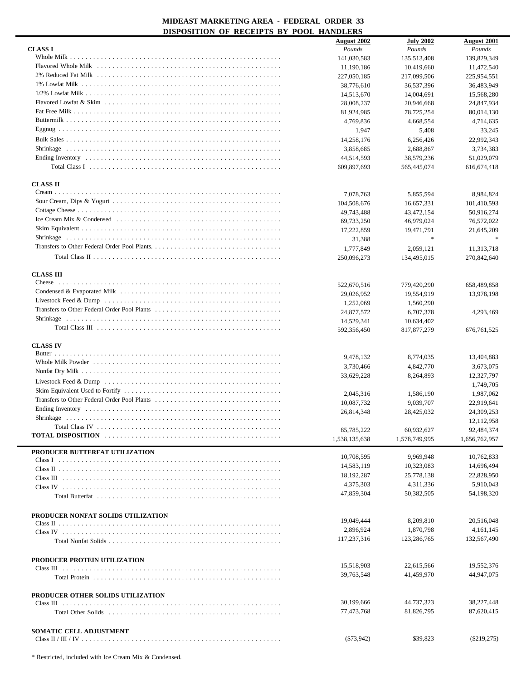| DISI OSHIION OF KECEH IS DI                  | <b>I OULL ILARDELING</b> |                  |                    |
|----------------------------------------------|--------------------------|------------------|--------------------|
|                                              | <b>August 2002</b>       | <b>July 2002</b> | <b>August 2001</b> |
| <b>CLASS I</b>                               | Pounds                   | Pounds           | Pounds             |
|                                              |                          |                  |                    |
|                                              | 141,030,583              | 135,513,408      | 139,829,349        |
|                                              | 11,190,186               | 10,419,660       | 11,472,540         |
|                                              | 227,050,185              | 217,099,506      | 225,954,551        |
|                                              | 38,776,610               | 36,537,396       | 36,483,949         |
|                                              |                          |                  |                    |
|                                              | 14,513,670               | 14,004,691       | 15,568,280         |
|                                              | 28,008,237               | 20,946,668       | 24,847,934         |
|                                              | 81,924,985               | 78,725,254       | 80,014,130         |
|                                              |                          |                  |                    |
|                                              | 4,769,836                | 4,668,554        | 4,714,635          |
|                                              | 1,947                    | 5,408            | 33,245             |
|                                              | 14,258,176               | 6.256.426        | 22,992,343         |
|                                              |                          |                  |                    |
|                                              | 3,858,685                | 2,688,867        | 3,734,383          |
|                                              | 44,514,593               | 38,579,236       | 51,029,079         |
|                                              | 609,897,693              | 565,445,074      | 616, 674, 418      |
|                                              |                          |                  |                    |
|                                              |                          |                  |                    |
| <b>CLASS II</b>                              |                          |                  |                    |
| $C$ ream $\ldots$                            | 7,078,763                | 5,855,594        | 8,984,824          |
|                                              |                          |                  |                    |
|                                              | 104,508,676              | 16,657,331       | 101,410,593        |
|                                              | 49,743,488               | 43,472,154       | 50,916,274         |
|                                              | 69,733,250               | 46,979,024       | 76,572,022         |
|                                              |                          |                  |                    |
|                                              | 17,222,859               | 19,471,791       | 21,645,209         |
|                                              | 31,388                   | $\ast$           |                    |
|                                              | 1,777,849                | 2,059,121        | 11,313,718         |
|                                              |                          |                  |                    |
|                                              | 250,096,273              | 134,495,015      | 270,842,640        |
|                                              |                          |                  |                    |
| <b>CLASS III</b>                             |                          |                  |                    |
|                                              |                          |                  |                    |
|                                              | 522,670,516              | 779,420,290      | 658,489,858        |
|                                              | 29,026,952               | 19,554,919       | 13,978,198         |
|                                              | 1,252,069                | 1,560,290        |                    |
| Transfers to Other Federal Order Pool Plants |                          |                  |                    |
|                                              | 24,877,572               | 6,707,378        | 4,293,469          |
|                                              | 14,529,341               | 10,634,402       |                    |
|                                              | 592,356,450              | 817, 877, 279    | 676, 761, 525      |
|                                              |                          |                  |                    |
| <b>CLASS IV</b>                              |                          |                  |                    |
|                                              |                          |                  |                    |
|                                              | 9,478,132                | 8,774,035        | 13,404,883         |
|                                              |                          |                  |                    |
|                                              | 3,730,466                | 4,842,770        | 3,673,075          |
|                                              | 33,629,228               | 8,264,893        | 12,327,797         |
|                                              |                          |                  | 1,749,705          |
|                                              | 2,045,316                | 1,586,190        | 1,987,062          |
| Transfers to Other Federal Order Pool Plants |                          |                  |                    |
|                                              | 10.087.732               | 9,039,707        | 22,919,641         |
|                                              | 26,814,348               | 28,425,032       | 24,309,253         |
| Shrinkage                                    |                          |                  | 12,112,958         |
|                                              |                          |                  |                    |
|                                              | 85,785,222               | 60.932.627       | 92,484,374         |
|                                              | 1,538,135,638            | 1,578,749,995    | 1,656,762,957      |
|                                              |                          |                  |                    |
| PRODUCER BUTTERFAT UTILIZATION               |                          |                  |                    |
|                                              | 10,708,595               | 9,969,948        | 10.762.833         |
|                                              | 14,583,119               | 10,323,083       | 14,696,494         |
|                                              | 18,192,287               | 25,778,138       | 22,828,950         |
|                                              |                          |                  |                    |
|                                              | 4,375,303                | 4,311,336        | 5,910,043          |
|                                              | 47,859,304               | 50,382,505       | 54,198,320         |
|                                              |                          |                  |                    |
|                                              |                          |                  |                    |
| PRODUCER NONFAT SOLIDS UTILIZATION           |                          |                  |                    |
|                                              | 19,049,444               | 8,209,810        | 20,516,048         |
|                                              | 2,896,924                | 1,870,798        | 4, 161, 145        |
|                                              |                          |                  |                    |
|                                              | 117,237,316              | 123,286,765      | 132,567,490        |
|                                              |                          |                  |                    |
|                                              |                          |                  |                    |
| PRODUCER PROTEIN UTILIZATION                 |                          | 22,615,566       | 19,552,376         |
|                                              | 15,518,903               |                  |                    |
|                                              | 39,763,548               | 41,459,970       | 44,947,075         |
|                                              |                          |                  |                    |
|                                              |                          |                  |                    |
| PRODUCER OTHER SOLIDS UTILIZATION            |                          |                  |                    |
|                                              | 30,199,666               | 44,737,323       | 38,227,448         |
|                                              | 77,473,768               | 81,826,795       | 87,620,415         |
|                                              |                          |                  |                    |
|                                              |                          |                  |                    |
| SOMATIC CELL ADJUSTMENT                      |                          |                  |                    |
|                                              | $(\$73,942)$             | \$39,823         | $(\$219,275)$      |
|                                              |                          |                  |                    |

\* Restricted, included with Ice Cream Mix & Condensed.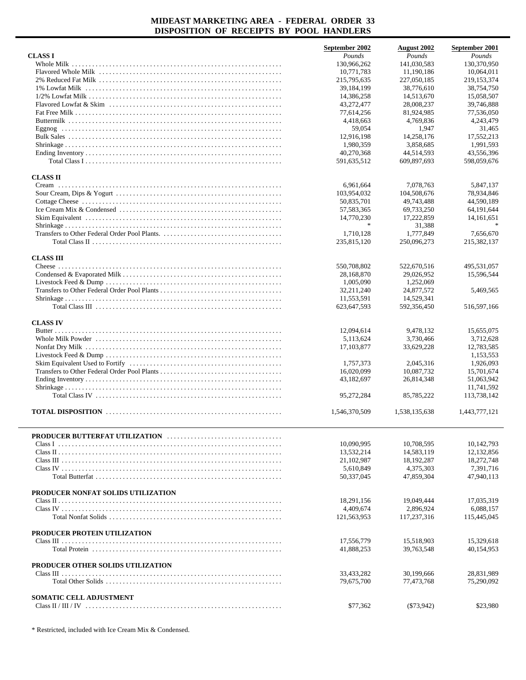|                                    | September 2002       | <b>August 2002</b> | September 2001 |
|------------------------------------|----------------------|--------------------|----------------|
| <b>CLASS I</b>                     | Pounds               | Pounds             | Pounds         |
| Whole Milk                         | 130,966,262          | 141,030,583        | 130.370.950    |
|                                    | 10,771,783           | 11,190,186         | 10,064,011     |
|                                    | 215,795,635          | 227,050,185        | 219,153,374    |
|                                    | 39,184,199           | 38,776,610         | 38,754,750     |
|                                    | 14,386,258           | 14,513,670         | 15,058,507     |
|                                    | 43,272,477           | 28,008,237         | 39,746,888     |
|                                    | 77,614,256           | 81,924,985         | 77,536,050     |
|                                    | 4,418,663            | 4,769,836          | 4,243,479      |
|                                    | 59,054               | 1,947              | 31,465         |
|                                    | 12,916,198           | 14,258,176         | 17.552.213     |
|                                    | 1,980,359            | 3.858.685          | 1,991,593      |
|                                    | 40,270,368           | 44,514,593         | 43,556,396     |
|                                    | 591,635,512          | 609,897,693        | 598,059,676    |
|                                    |                      |                    |                |
| <b>CLASS II</b>                    |                      |                    |                |
|                                    | 6,961,664            | 7,078,763          | 5,847,137      |
|                                    | 103,954,032          | 104,508,676        | 78,934,846     |
|                                    | 50,835,701           | 49,743,488         | 44,590,189     |
|                                    | 57,583,365           | 69,733,250         | 64,191,644     |
|                                    | 14,770,230<br>$\ast$ | 17,222,859         | 14,161,651     |
|                                    |                      | 31.388             |                |
|                                    | 1,710,128            | 1,777,849          | 7.656.670      |
|                                    | 235,815,120          | 250,096,273        | 215,382,137    |
| <b>CLASS III</b>                   |                      |                    |                |
|                                    | 550,708,802          | 522,670,516        | 495,531,057    |
|                                    | 28,168,870           | 29.026.952         | 15,596,544     |
|                                    | 1,005,090            | 1,252,069          |                |
|                                    | 32,211,240           | 24,877,572         | 5,469,565      |
|                                    | 11,553,591           | 14,529,341         |                |
|                                    | 623,647,593          | 592,356,450        | 516,597,166    |
|                                    |                      |                    |                |
| <b>CLASS IV</b>                    |                      |                    |                |
|                                    | 12,094,614           | 9,478,132          | 15,655,075     |
|                                    | 5,113,624            | 3,730,466          | 3,712,628      |
|                                    | 17, 103, 877         | 33,629,228         | 12,783,585     |
|                                    |                      |                    | 1,153,553      |
|                                    | 1,757,373            | 2,045,316          | 1,926,093      |
|                                    | 16,020,099           | 10,087,732         | 15,701,674     |
|                                    | 43,182,697           | 26,814,348         | 51,063,942     |
|                                    |                      |                    | 11,741,592     |
|                                    | 95,272,284           | 85,785,222         | 113,738,142    |
|                                    |                      |                    |                |
|                                    | 1,546,370,509        | 1,538,135,638      | 1,443,777,121  |
|                                    |                      |                    |                |
|                                    |                      |                    |                |
|                                    | 10,090,995           | 10,708,595         | 10,142,793     |
|                                    | 13,532,214           | 14,583,119         | 12,132,856     |
|                                    | 21,102,987           | 18.192.287         | 18,272,748     |
|                                    | 5,610,849            | 4,375,303          | 7,391,716      |
|                                    | 50,337,045           | 47,859,304         | 47,940,113     |
|                                    |                      |                    |                |
| PRODUCER NONFAT SOLIDS UTILIZATION |                      |                    |                |
|                                    | 18,291,156           | 19,049,444         | 17,035,319     |
|                                    | 4,409,674            | 2,896,924          | 6,088,157      |
|                                    | 121,563,953          | 117,237,316        | 115,445,045    |
| PRODUCER PROTEIN UTILIZATION       |                      |                    |                |
|                                    | 17,556,779           | 15,518,903         | 15,329,618     |
|                                    | 41,888,253           | 39,763,548         | 40,154,953     |
|                                    |                      |                    |                |
| PRODUCER OTHER SOLIDS UTILIZATION  |                      |                    |                |
|                                    | 33,433,282           | 30,199,666         | 28,831,989     |
|                                    | 79,675,700           | 77,473,768         | 75,290,092     |
|                                    |                      |                    |                |
| SOMATIC CELL ADJUSTMENT            |                      |                    |                |
|                                    | \$77,362             | ( \$73, 942)       | \$23,980       |
|                                    |                      |                    |                |

\* Restricted, included with Ice Cream Mix & Condensed.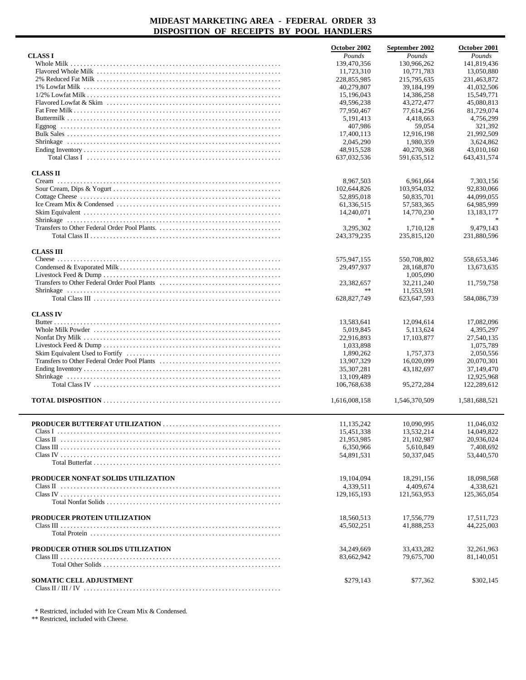|                                                                                                                                    | October 2002     | September 2002              | October 2001             |
|------------------------------------------------------------------------------------------------------------------------------------|------------------|-----------------------------|--------------------------|
| <b>CLASS I</b>                                                                                                                     | Pounds           | Pounds                      | Pounds                   |
|                                                                                                                                    | 139,470,356      | 130,966,262                 | 141,819,436              |
|                                                                                                                                    | 11,723,310       | 10,771,783                  | 13,050,880               |
|                                                                                                                                    | 228,855,985      | 215,795,635                 | 231,463,872              |
|                                                                                                                                    | 40,279,807       | 39,184,199                  | 41,032,506               |
|                                                                                                                                    | 15,196,043       | 14,386,258                  | 15,549,771               |
|                                                                                                                                    | 49,596,238       | 43,272,477                  | 45,080,813               |
|                                                                                                                                    | 77,950,467       | 77,614,256                  | 81,729,074               |
|                                                                                                                                    | 5, 191, 413      | 4,418,663                   | 4,756,299                |
|                                                                                                                                    | 407,986          | 59,054                      | 321,392                  |
|                                                                                                                                    | 17,400,113       | 12,916,198                  | 21.992.509               |
|                                                                                                                                    | 2,045,290        | 1,980,359                   | 3,624,862                |
|                                                                                                                                    | 48,915,528       | 40,270,368                  | 43,010,160               |
| Total Class I $\ldots$ $\ldots$ $\ldots$ $\ldots$ $\ldots$ $\ldots$ $\ldots$ $\ldots$ $\ldots$ $\ldots$ $\ldots$ $\ldots$ $\ldots$ | 637,032,536      | 591,635,512                 | 643,431,574              |
|                                                                                                                                    |                  |                             |                          |
| <b>CLASS II</b>                                                                                                                    |                  |                             |                          |
|                                                                                                                                    | 8,967,503        | 6,961,664                   | 7,303,156                |
|                                                                                                                                    | 102,644,826      | 103,954,032                 | 92,830,066               |
|                                                                                                                                    | 52,895,018       | 50,835,701                  | 44,099,055               |
|                                                                                                                                    | 61,336,515       | 57,583,365                  | 64,985,999               |
|                                                                                                                                    | 14,240,071       | 14,770,230                  | 13, 183, 177             |
|                                                                                                                                    | $\frac{1}{2}$    | $\mathcal{H}$               |                          |
|                                                                                                                                    | 3,295,302        | 1.710.128                   | 9,479,143                |
|                                                                                                                                    | 243,379,235      | 235,815,120                 | 231,880,596              |
| <b>CLASS III</b>                                                                                                                   |                  |                             |                          |
|                                                                                                                                    | 575,947,155      | 550,708,802                 | 558,653,346              |
|                                                                                                                                    | 29,497,937       | 28,168,870                  | 13,673,635               |
|                                                                                                                                    |                  | 1,005,090                   |                          |
|                                                                                                                                    |                  |                             |                          |
|                                                                                                                                    | 23,382,657<br>** | 32,211,240                  | 11,759,758               |
|                                                                                                                                    | 628,827,749      | 11,553,591<br>623, 647, 593 | 584,086,739              |
|                                                                                                                                    |                  |                             |                          |
| <b>CLASS IV</b>                                                                                                                    |                  |                             |                          |
|                                                                                                                                    | 13,583,641       | 12,094,614                  | 17,082,096               |
|                                                                                                                                    | 5,019,845        | 5,113,624                   | 4,395,297                |
|                                                                                                                                    | 22,916,893       | 17,103,877                  | 27,540,135               |
|                                                                                                                                    | 1,033,898        |                             | 1,075,789                |
|                                                                                                                                    | 1,890,262        | 1,757,373                   | 2,050,556                |
|                                                                                                                                    | 13,907,329       | 16,020,099                  | 20,070,301               |
|                                                                                                                                    | 35,307,281       | 43,182,697                  | 37,149,470               |
|                                                                                                                                    | 13,109,489       |                             | 12,925,968               |
|                                                                                                                                    | 106,768,638      | 95,272,284                  | 122,289,612              |
|                                                                                                                                    |                  |                             |                          |
|                                                                                                                                    | 1,616,008,158    | 1,546,370,509               | 1,581,688,521            |
|                                                                                                                                    |                  |                             |                          |
|                                                                                                                                    | 11,135,242       | 10,090,995                  | 11,046,032               |
|                                                                                                                                    | 15,451,338       | 13,532,214                  | 14,049,822               |
|                                                                                                                                    | 21,953,985       | 21,102,987                  | 20,936,024               |
|                                                                                                                                    | 6,350,966        | 5,610,849                   | 7,408,692                |
|                                                                                                                                    | 54,891,531       | 50,337,045                  | 53,440,570               |
|                                                                                                                                    |                  |                             |                          |
|                                                                                                                                    |                  |                             |                          |
| PRODUCER NONFAT SOLIDS UTILIZATION                                                                                                 | 19, 104, 094     | 18,291,156                  | 18,098,568               |
|                                                                                                                                    | 4,339,511        | 4,409,674                   | 4,338,621                |
|                                                                                                                                    | 129, 165, 193    | 121,563,953                 | 125,365,054              |
|                                                                                                                                    |                  |                             |                          |
|                                                                                                                                    |                  |                             |                          |
| PRODUCER PROTEIN UTILIZATION                                                                                                       | 18,560,513       | 17,556,779                  | 17,511,723               |
|                                                                                                                                    | 45,502,251       | 41,888,253                  | 44,225,003               |
|                                                                                                                                    |                  |                             |                          |
| PRODUCER OTHER SOLIDS UTILIZATION                                                                                                  | 34,249,669       | 33,433,282                  |                          |
|                                                                                                                                    | 83,662,942       | 79,675,700                  | 32,261,963<br>81,140,051 |
|                                                                                                                                    |                  |                             |                          |
|                                                                                                                                    |                  |                             |                          |
| SOMATIC CELL ADJUSTMENT                                                                                                            | \$279,143        | \$77,362                    | \$302,145                |
|                                                                                                                                    |                  |                             |                          |

\* Restricted, included with Ice Cream Mix & Condensed.

\*\* Restricted, included with Cheese.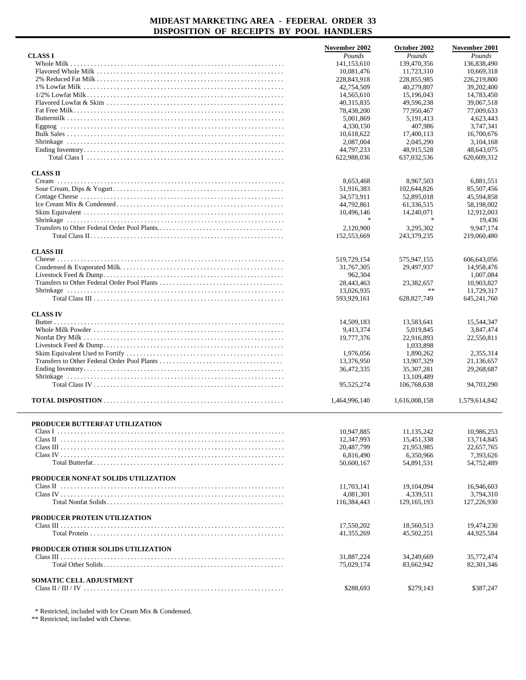|                                                                                                                                                 | November 2002  | October 2002  | <b>November 2001</b> |
|-------------------------------------------------------------------------------------------------------------------------------------------------|----------------|---------------|----------------------|
| <b>CLASSI</b>                                                                                                                                   | Pounds         | Pounds        | Pounds               |
|                                                                                                                                                 | 141,153,610    | 139,470,356   | 136,838,490          |
|                                                                                                                                                 | 10,081,476     | 11,723,310    | 10,669,318           |
|                                                                                                                                                 | 228,843,918    | 228,855,985   | 226,219,800          |
|                                                                                                                                                 | 42,754,509     | 40,279,807    | 39,202,400           |
|                                                                                                                                                 | 14,565,610     | 15,196,043    | 14,783,450           |
|                                                                                                                                                 | 40, 315, 835   | 49,596,238    | 39,067,518           |
|                                                                                                                                                 | 78,438,200     | 77,950,467    | 77,009,633           |
|                                                                                                                                                 | 5,001,869      | 5, 191, 413   | 4,623,443            |
|                                                                                                                                                 | 4,330,150      | 407,986       | 3,747,341            |
|                                                                                                                                                 | 10,618,622     | 17,400,113    | 16,700,676           |
|                                                                                                                                                 | 2,087,004      | 2,045,290     | 3,104,168            |
|                                                                                                                                                 | 44,797,233     | 48,915,528    | 48,643,075           |
| Total Class I $\ldots$ $\ldots$ $\ldots$ $\ldots$ $\ldots$ $\ldots$ $\ldots$ $\ldots$                                                           | 622,988,036    | 637,032,536   | 620,609,312          |
|                                                                                                                                                 |                |               |                      |
| <b>CLASS II</b>                                                                                                                                 |                |               |                      |
|                                                                                                                                                 | 8,653,468      | 8,967,503     | 6,881,551            |
|                                                                                                                                                 | 51,916,383     | 102,644,826   | 85,507,456           |
|                                                                                                                                                 | 34,573,911     | 52,895,018    | 45,594,858           |
|                                                                                                                                                 | 44,792,861     | 61,336,515    | 58,198,002           |
|                                                                                                                                                 | 10,496,146     | 14,240,071    | 12,912,003           |
|                                                                                                                                                 | $\frac{1}{20}$ |               | 19.436               |
|                                                                                                                                                 | 2,120,900      | 3,295,302     | 9,947,174            |
|                                                                                                                                                 | 152,553,669    | 243,379,235   | 219,060,480          |
|                                                                                                                                                 |                |               |                      |
| <b>CLASS III</b>                                                                                                                                |                |               |                      |
|                                                                                                                                                 | 519,729,154    | 575,947,155   | 606,643,056          |
|                                                                                                                                                 | 31,767,305     | 29,497,937    | 14,958,476           |
|                                                                                                                                                 | 962,304        |               | 1,007,084            |
|                                                                                                                                                 | 28,443,463     | 23,382,657    | 10,903,827           |
|                                                                                                                                                 | 13,026,935     | $\ast$ $\ast$ | 11,729,317           |
|                                                                                                                                                 | 593,929,161    | 628,827,749   | 645, 241, 760        |
|                                                                                                                                                 |                |               |                      |
| <b>CLASS IV</b>                                                                                                                                 |                |               |                      |
|                                                                                                                                                 | 14,509,183     | 13,583,641    | 15,544,347           |
|                                                                                                                                                 | 9,413,374      | 5,019,845     | 3,847,474            |
|                                                                                                                                                 | 19,777,376     | 22,916,893    | 22,550,811           |
|                                                                                                                                                 |                | 1,033,898     |                      |
|                                                                                                                                                 | 1,976,056      | 1,890,262     | 2,355,314            |
|                                                                                                                                                 | 13,376,950     | 13,907,329    | 21,136,657           |
|                                                                                                                                                 | 36,472,335     | 35,307,281    | 29,268,687           |
|                                                                                                                                                 |                | 13,109,489    |                      |
|                                                                                                                                                 | 95,525,274     | 106,768,638   | 94,703,290           |
|                                                                                                                                                 |                |               |                      |
|                                                                                                                                                 | 1,464,996,140  | 1,616,008,158 | 1,579,614,842        |
|                                                                                                                                                 |                |               |                      |
|                                                                                                                                                 |                |               |                      |
| PRODUCER BUTTERFAT UTILIZATION                                                                                                                  |                |               |                      |
|                                                                                                                                                 | 10,947,885     | 11,135,242    | 10,986,253           |
| Class II $\cdots$ $\cdots$ $\cdots$ $\cdots$ $\cdots$ $\cdots$ $\cdots$ $\cdots$ $\cdots$ $\cdots$ $\cdots$ $\cdots$ $\cdots$ $\cdots$ $\cdots$ | 12,347,993     | 15,451,338    | 13,714,845           |
|                                                                                                                                                 | 20,487,799     | 21,953,985    | 22,657,765           |
|                                                                                                                                                 | 6,816,490      | 6,350,966     | 7,393,626            |
|                                                                                                                                                 | 50,600,167     | 54,891,531    | 54,752,489           |
|                                                                                                                                                 |                |               |                      |
| PRODUCER NONFAT SOLIDS UTILIZATION                                                                                                              |                |               |                      |
|                                                                                                                                                 | 11.703.141     | 19.104.094    | 16,946,603           |
|                                                                                                                                                 | 4,081,301      | 4,339,511     | 3,794,310            |
|                                                                                                                                                 | 116,384,443    | 129, 165, 193 | 127,226,930          |
|                                                                                                                                                 |                |               |                      |
| PRODUCER PROTEIN UTILIZATION                                                                                                                    |                |               |                      |
|                                                                                                                                                 | 17,550,202     | 18,560,513    | 19,474,230           |
|                                                                                                                                                 | 41, 355, 269   | 45,502,251    | 44,925,584           |
|                                                                                                                                                 |                |               |                      |
| PRODUCER OTHER SOLIDS UTILIZATION                                                                                                               |                |               |                      |
|                                                                                                                                                 | 31,887,224     | 34,249,669    | 35,772,474           |
|                                                                                                                                                 | 75,029,174     | 83,662,942    | 82, 301, 346         |
|                                                                                                                                                 |                |               |                      |
| <b>SOMATIC CELL ADJUSTMENT</b>                                                                                                                  |                |               |                      |
|                                                                                                                                                 | \$288,693      | \$279,143     | \$387,247            |

\* Restricted, included with Ice Cream Mix & Condensed.

\*\* Restricted, included with Cheese.